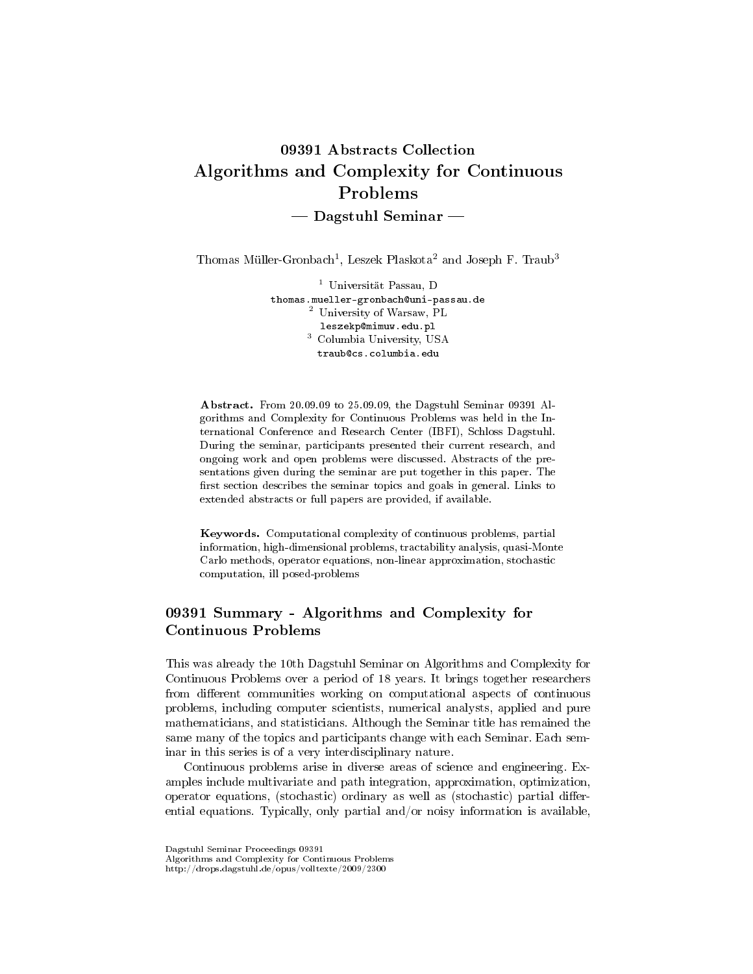# 09391 Abstracts Collection Algorithms and Complexity for Continuous Problems  $-$  Dagstuhl Seminar  $-$

Thomas Müller-Gronbach<sup>1</sup>, Leszek Plaskota<sup>2</sup> and Joseph F. Traub<sup>3</sup>

<sup>1</sup> Universität Passau, D thomas.mueller-gronbach@uni-passau.de  $^{2}$  University of Warsaw, PL leszekp@mimuw.edu.pl <sup>3</sup> Columbia University, USA traub@cs.columbia.edu

Abstract. From 20.09.09 to 25.09.09, the Dagstuhl Seminar 09391 Algorithms and Complexity for Continuous Problems was held in the International Conference and Research Center (IBFI), Schloss Dagstuhl. During the seminar, participants presented their current research, and ongoing work and open problems were discussed. Abstracts of the presentations given during the seminar are put together in this paper. The first section describes the seminar topics and goals in general. Links to extended abstracts or full papers are provided, if available.

Keywords. Computational complexity of continuous problems, partial information, high-dimensional problems, tractability analysis, quasi-Monte Carlo methods, operator equations, non-linear approximation, stochastic computation, ill posed-problems

# 09391 Summary - Algorithms and Complexity for Continuous Problems

This was already the 10th Dagstuhl Seminar on Algorithms and Complexity for Continuous Problems over a period of 18 years. It brings together researchers from different communities working on computational aspects of continuous problems, including computer scientists, numerical analysts, applied and pure mathematicians, and statisticians. Although the Seminar title has remained the same many of the topics and participants change with each Seminar. Each seminar in this series is of a very interdisciplinary nature.

Continuous problems arise in diverse areas of science and engineering. Examples include multivariate and path integration, approximation, optimization, operator equations, (stochastic) ordinary as well as (stochastic) partial differential equations. Typically, only partial and/or noisy information is available,

Dagstuhl Seminar Proceedings 09391

Algorithms and Complexity for Continuous Problems

http://drops.dagstuhl.de/opus/volltexte/2009/2300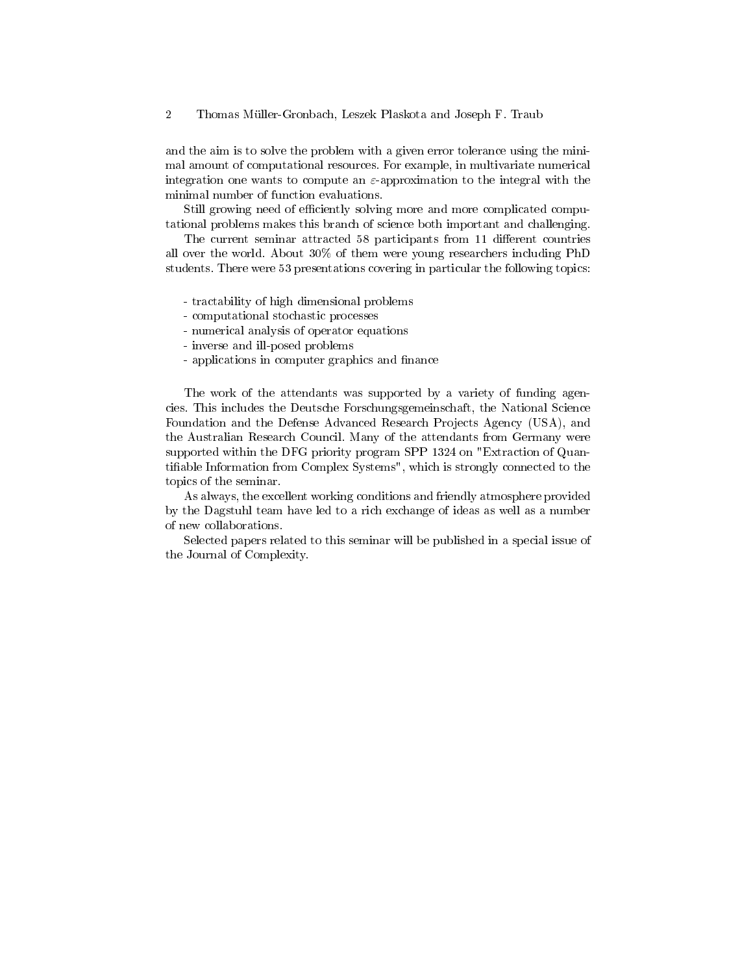and the aim is to solve the problem with a given error tolerance using the minimal amount of computational resources. For example, in multivariate numerical integration one wants to compute an  $\varepsilon$ -approximation to the integral with the minimal number of function evaluations.

Still growing need of efficiently solving more and more complicated computational problems makes this branch of science both important and challenging.

The current seminar attracted 58 participants from 11 different countries all over the world. About 30% of them were young researchers including PhD students. There were 53 presentations covering in particular the following topics:

- tractability of high dimensional problems
- computational stochastic processes
- numerical analysis of operator equations
- inverse and ill-posed problems
- applications in computer graphics and finance

The work of the attendants was supported by a variety of funding agencies. This includes the Deutsche Forschungsgemeinschaft, the National Science Foundation and the Defense Advanced Research Projects Agency (USA), and the Australian Research Council. Many of the attendants from Germany were supported within the DFG priority program SPP 1324 on "Extraction of Quantiable Information from Complex Systems", which is strongly connected to the topics of the seminar.

As always, the excellent working conditions and friendly atmosphere provided by the Dagstuhl team have led to a rich exchange of ideas as well as a number of new collaborations.

Selected papers related to this seminar will be published in a special issue of the Journal of Complexity.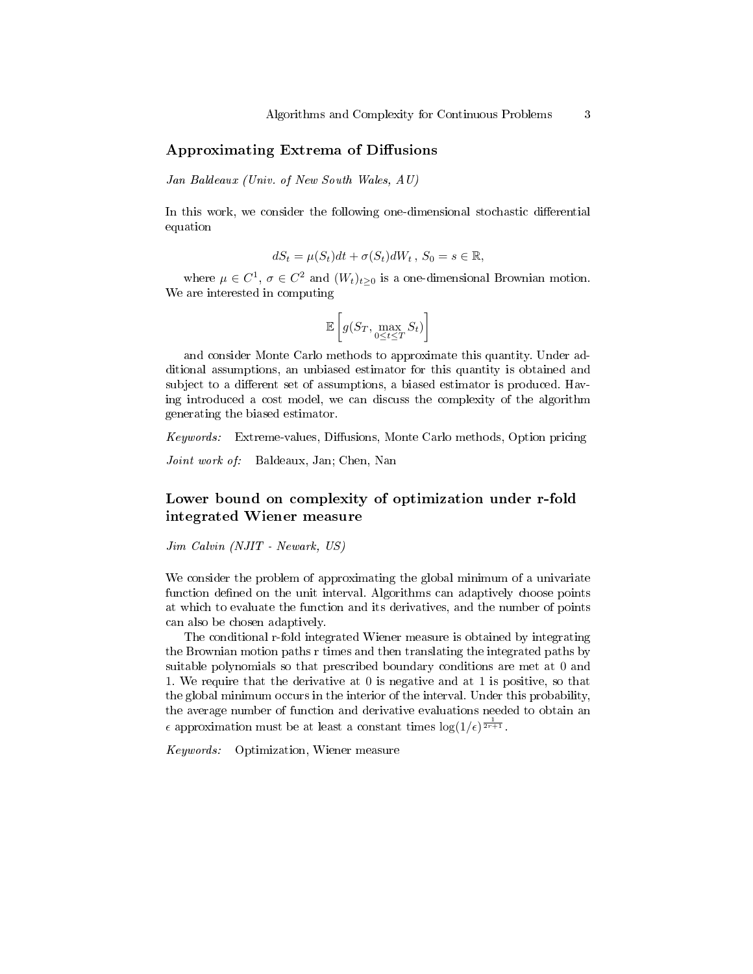### Approximating Extrema of Diffusions

Jan Baldeaux (Univ. of New South Wales, AU)

In this work, we consider the following one-dimensional stochastic differential equation

$$
dS_t = \mu(S_t)dt + \sigma(S_t)dW_t, S_0 = s \in \mathbb{R},
$$

where  $\mu \in C^1$ ,  $\sigma \in C^2$  and  $(W_t)_{t>0}$  is a one-dimensional Brownian motion. We are interested in computing

$$
\mathbb{E}\left[g(S_T, \max_{0 \le t \le T} S_t)\right]
$$

and consider Monte Carlo methods to approximate this quantity. Under additional assumptions, an unbiased estimator for this quantity is obtained and subject to a different set of assumptions, a biased estimator is produced. Having introduced a cost model, we can discuss the complexity of the algorithm generating the biased estimator.

 $Keywords:$  Extreme-values, Diffusions, Monte Carlo methods, Option pricing

Joint work of: Baldeaux, Jan; Chen, Nan

# Lower bound on complexity of optimization under r-fold integrated Wiener measure

Jim Calvin (NJIT - Newark, US)

We consider the problem of approximating the global minimum of a univariate function defined on the unit interval. Algorithms can adaptively choose points at which to evaluate the function and its derivatives, and the number of points can also be chosen adaptively.

The conditional r-fold integrated Wiener measure is obtained by integrating the Brownian motion paths r times and then translating the integrated paths by suitable polynomials so that prescribed boundary conditions are met at 0 and 1. We require that the derivative at 0 is negative and at 1 is positive, so that the global minimum occurs in the interior of the interval. Under this probability, the average number of function and derivative evaluations needed to obtain an  $\epsilon$  approximation must be at least a constant times  $\log(1/\epsilon)^{\frac{1}{2r+1}}$ .

Keywords: Optimization, Wiener measure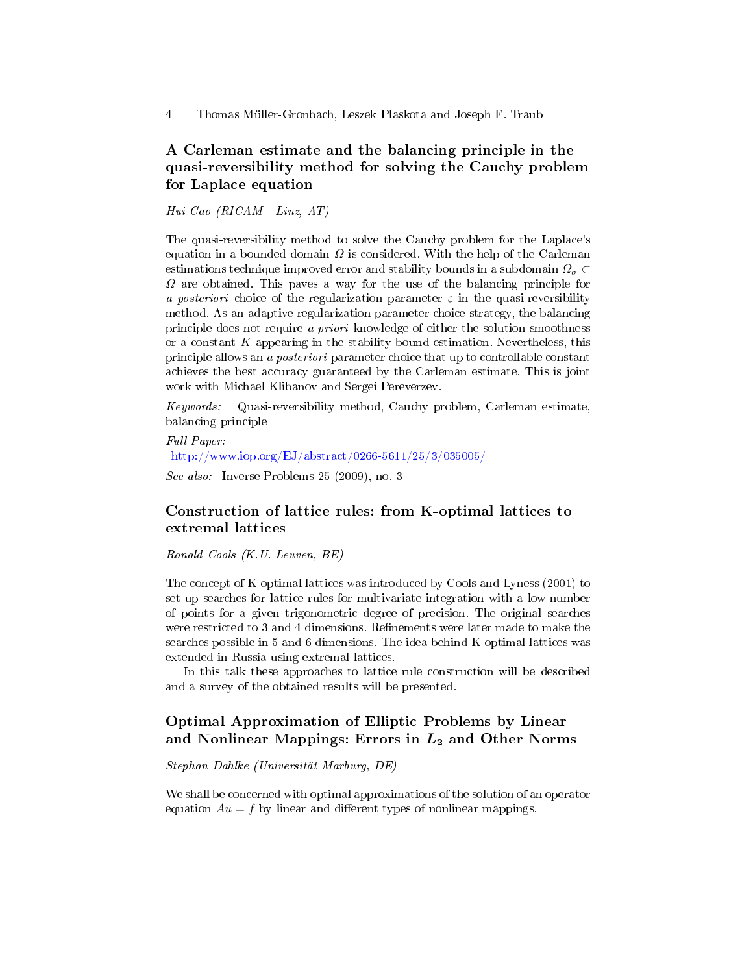# A Carleman estimate and the balancing principle in the quasi-reversibility method for solving the Cauchy problem for Laplace equation

Hui Cao (RICAM - Linz, AT)

The quasi-reversibility method to solve the Cauchy problem for the Laplace's equation in a bounded domain  $\Omega$  is considered. With the help of the Carleman estimations technique improved error and stability bounds in a subdomain  $\Omega_{\sigma} \subset$  $\Omega$  are obtained. This paves a way for the use of the balancing principle for a posteriori choice of the regularization parameter  $\varepsilon$  in the quasi-reversibility method. As an adaptive regularization parameter choice strategy, the balancing principle does not require a priori knowledge of either the solution smoothness or a constant  $K$  appearing in the stability bound estimation. Nevertheless, this principle allows an a posteriori parameter choice that up to controllable constant achieves the best accuracy guaranteed by the Carleman estimate. This is joint work with Michael Klibanov and Sergei Pereverzev.

Keywords: Quasi-reversibility method, Cauchy problem, Carleman estimate, balancing principle

Full Paper: <http://www.iop.org/EJ/abstract/0266-5611/25/3/035005/> See also: Inverse Problems 25 (2009), no. 3

# Construction of lattice rules: from K-optimal lattices to extremal lattices

Ronald Cools (K.U. Leuven, BE)

The concept of K-optimal lattices was introduced by Cools and Lyness (2001) to set up searches for lattice rules for multivariate integration with a low number of points for a given trigonometric degree of precision. The original searches were restricted to 3 and 4 dimensions. Refinements were later made to make the searches possible in 5 and 6 dimensions. The idea behind K-optimal lattices was extended in Russia using extremal lattices.

In this talk these approaches to lattice rule construction will be described and a survey of the obtained results will be presented.

# Optimal Approximation of Elliptic Problems by Linear and Nonlinear Mappings: Errors in  $L_2$  and Other Norms

Stephan Dahlke (Universität Marburg, DE)

We shall be concerned with optimal approximations of the solution of an operator equation  $Au = f$  by linear and different types of nonlinear mappings.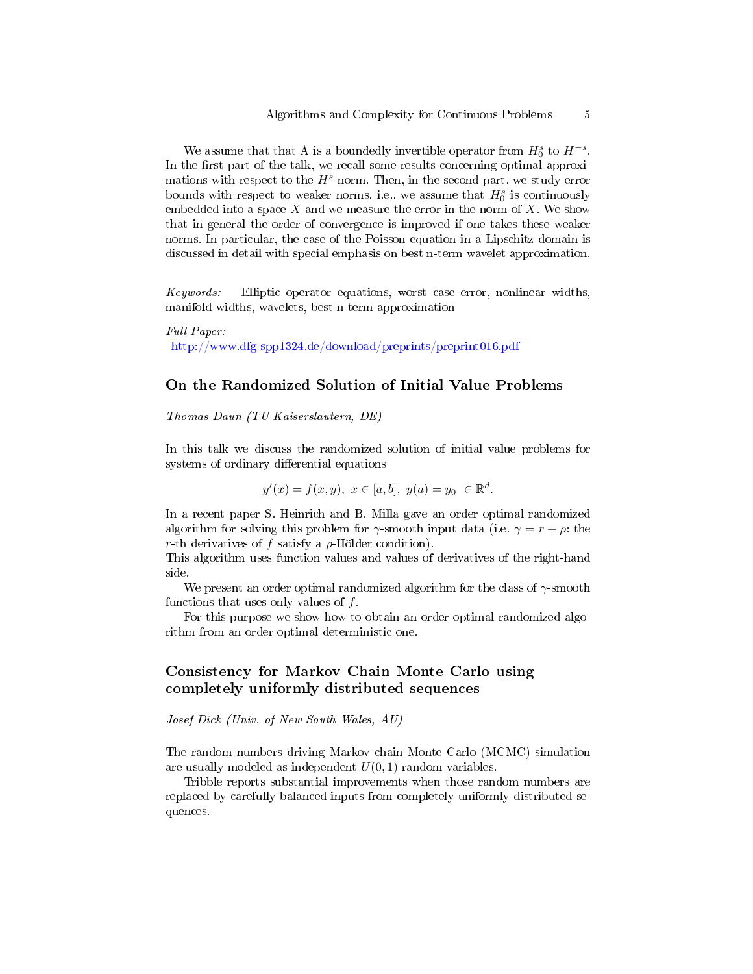We assume that that A is a boundedly invertible operator from  $H_0^s$  to  $H^{-s}$ . In the first part of the talk, we recall some results concerning optimal approximations with respect to the  $H^s$ -norm. Then, in the second part, we study error bounds with respect to weaker norms, i.e., we assume that  $H_0^s$  is continuously embedded into a space  $X$  and we measure the error in the norm of  $X$ . We show that in general the order of convergence is improved if one takes these weaker norms. In particular, the case of the Poisson equation in a Lipschitz domain is discussed in detail with special emphasis on best n-term wavelet approximation.

Keywords: Elliptic operator equations, worst case error, nonlinear widths, manifold widths, wavelets, best n-term approximation

Full Paper: <http://www.dfg-spp1324.de/download/preprints/preprint016.pdf>

#### On the Randomized Solution of Initial Value Problems

Thomas Daun (TU Kaiserslautern, DE)

In this talk we discuss the randomized solution of initial value problems for systems of ordinary differential equations

$$
y'(x) = f(x, y), \ x \in [a, b], \ y(a) = y_0 \ \in \mathbb{R}^d.
$$

In a recent paper S. Heinrich and B. Milla gave an order optimal randomized algorithm for solving this problem for  $\gamma$ -smooth input data (i.e.  $\gamma = r + \rho$ : the r-th derivatives of f satisfy a  $\rho$ -Hölder condition).

This algorithm uses function values and values of derivatives of the right-hand side.

We present an order optimal randomized algorithm for the class of  $\gamma$ -smooth functions that uses only values of  $f$ .

For this purpose we show how to obtain an order optimal randomized algorithm from an order optimal deterministic one.

# Consistency for Markov Chain Monte Carlo using completely uniformly distributed sequences

Josef Dick (Univ. of New South Wales, AU)

The random numbers driving Markov chain Monte Carlo (MCMC) simulation are usually modeled as independent  $U(0, 1)$  random variables.

Tribble reports substantial improvements when those random numbers are replaced by carefully balanced inputs from completely uniformly distributed sequences.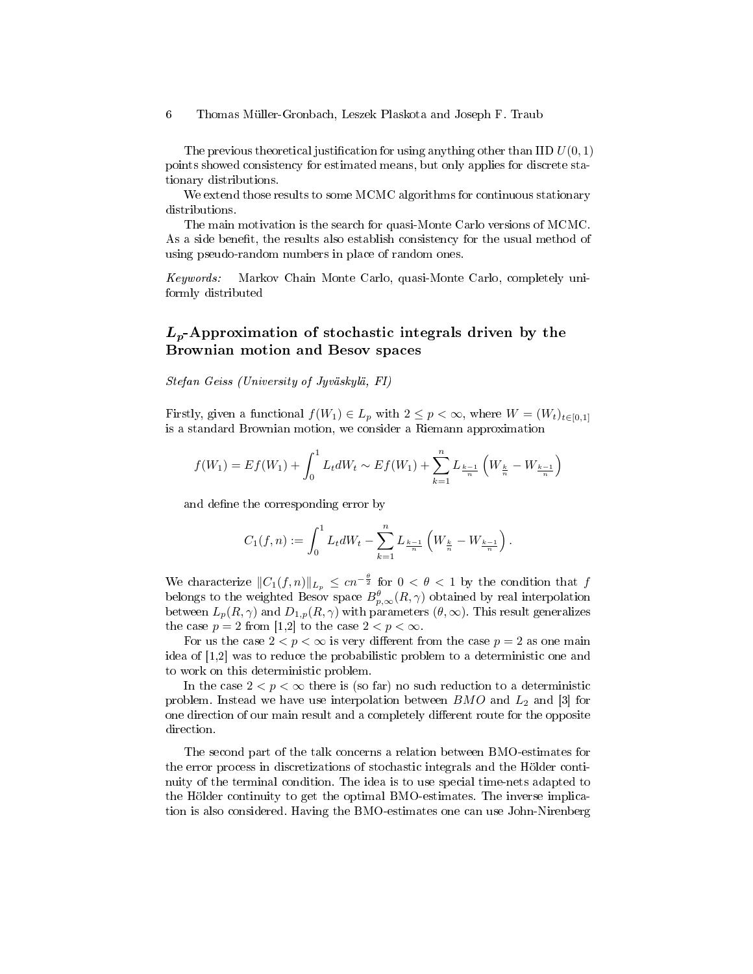The previous theoretical justification for using anything other than IID  $U(0, 1)$ points showed consistency for estimated means, but only applies for discrete stationary distributions.

We extend those results to some MCMC algorithms for continuous stationary distributions.

The main motivation is the search for quasi-Monte Carlo versions of MCMC. As a side benefit, the results also establish consistency for the usual method of using pseudo-random numbers in place of random ones.

Keywords: Markov Chain Monte Carlo, quasi-Monte Carlo, completely uniformly distributed

### $L_p$ -Approximation of stochastic integrals driven by the Brownian motion and Besov spaces

Stefan Geiss (University of Jyväskylä, FI)

Firstly, given a functional  $f(W_1) \in L_p$  with  $2 \leq p < \infty$ , where  $W = (W_t)_{t \in [0,1]}$ is a standard Brownian motion, we consider a Riemann approximation

$$
f(W_1) = Ef(W_1) + \int_0^1 L_t dW_t \sim Ef(W_1) + \sum_{k=1}^n L_{\frac{k-1}{n}} \left( W_{\frac{k}{n}} - W_{\frac{k-1}{n}} \right)
$$

and define the corresponding error by

$$
C_1(f,n) := \int_0^1 L_t dW_t - \sum_{k=1}^n L_{\frac{k-1}{n}} \left( W_{\frac{k}{n}} - W_{\frac{k-1}{n}} \right).
$$

We characterize  $||C_1(f, n)||_{L_p} \le cn^{-\frac{\theta}{2}}$  for  $0 < \theta < 1$  by the condition that f belongs to the weighted Besov space  $B_{p,\infty}^{\theta}(R,\gamma)$  obtained by real interpolation between  $L_p(R, \gamma)$  and  $D_{1,p}(R, \gamma)$  with parameters  $(\theta, \infty)$ . This result generalizes the case  $p = 2$  from [1,2] to the case  $2 < p < \infty$ .

For us the case  $2 < p < \infty$  is very different from the case  $p = 2$  as one main idea of [1,2] was to reduce the probabilistic problem to a deterministic one and to work on this deterministic problem.

In the case  $2 < p < \infty$  there is (so far) no such reduction to a deterministic problem. Instead we have use interpolation between  $BMO$  and  $L_2$  and  $\vert 3\vert$  for one direction of our main result and a completely different route for the opposite direction.

The second part of the talk concerns a relation between BMO-estimates for the error process in discretizations of stochastic integrals and the Hölder continuity of the terminal condition. The idea is to use special time-nets adapted to the Hölder continuity to get the optimal BMO-estimates. The inverse implication is also considered. Having the BMO-estimates one can use John-Nirenberg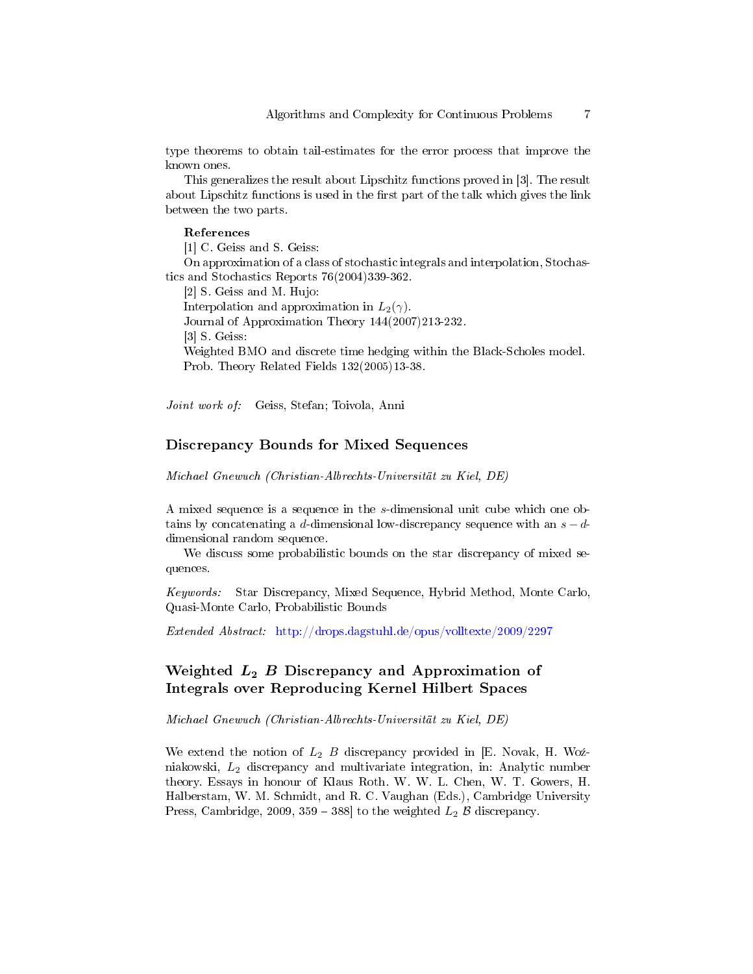type theorems to obtain tail-estimates for the error process that improve the known ones.

This generalizes the result about Lipschitz functions proved in [3]. The result about Lipschitz functions is used in the first part of the talk which gives the link between the two parts.

#### References

[1] C. Geiss and S. Geiss:

On approximation of a class of stochastic integrals and interpolation, Stochastics and Stochastics Reports 76(2004)339-362.

[2] S. Geiss and M. Hujo:

Interpolation and approximation in  $L_2(\gamma)$ .

Journal of Approximation Theory 144(2007)213-232.

[3] S. Geiss:

Weighted BMO and discrete time hedging within the Black-Scholes model. Prob. Theory Related Fields 132(2005)13-38.

Joint work of: Geiss, Stefan; Toivola, Anni

### Discrepancy Bounds for Mixed Sequences

Michael Gnewuch (Christian-Albrechts-Universität zu Kiel, DE)

A mixed sequence is a sequence in the s-dimensional unit cube which one obtains by concatenating a d-dimensional low-discrepancy sequence with an  $s - d$ dimensional random sequence.

We discuss some probabilistic bounds on the star discrepancy of mixed sequences.

Keywords: Star Discrepancy, Mixed Sequence, Hybrid Method, Monte Carlo, Quasi-Monte Carlo, Probabilistic Bounds

Extended Abstract: <http://drops.dagstuhl.de/opus/volltexte/2009/2297>

# Weighted  $L_2$  B Discrepancy and Approximation of Integrals over Reproducing Kernel Hilbert Spaces

Michael Gnewuch (Christian-Albrechts-Universität zu Kiel, DE)

We extend the notion of  $L_2$  B discrepancy provided in [E. Novak, H. Woźniakowski,  $L_2$  discrepancy and multivariate integration, in: Analytic number theory. Essays in honour of Klaus Roth. W. W. L. Chen, W. T. Gowers, H. Halberstam, W. M. Schmidt, and R. C. Vaughan (Eds.), Cambridge University Press, Cambridge, 2009, 359 – 388] to the weighted  $L_2$   $\beta$  discrepancy.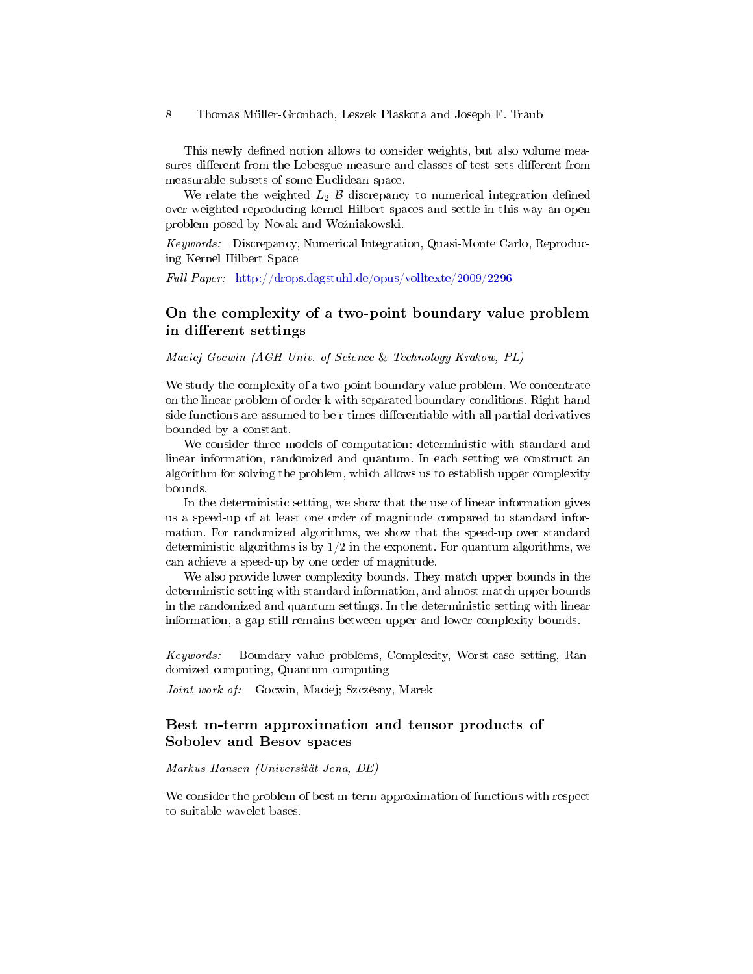This newly defined notion allows to consider weights, but also volume measures different from the Lebesgue measure and classes of test sets different from measurable subsets of some Euclidean space.

We relate the weighted  $L_2$   $\beta$  discrepancy to numerical integration defined over weighted reproducing kernel Hilbert spaces and settle in this way an open problem posed by Novak and Woźniakowski.

Keywords: Discrepancy, Numerical Integration, Quasi-Monte Carlo, Reproducing Kernel Hilbert Space

Full Paper: <http://drops.dagstuhl.de/opus/volltexte/2009/2296>

# On the complexity of a two-point boundary value problem in different settings

Maciej Gocwin (AGH Univ. of Science & Technology-Krakow, PL)

We study the complexity of a two-point boundary value problem. We concentrate on the linear problem of order k with separated boundary conditions. Right-hand side functions are assumed to be r times differentiable with all partial derivatives bounded by a constant.

We consider three models of computation: deterministic with standard and linear information, randomized and quantum. In each setting we construct an algorithm for solving the problem, which allows us to establish upper complexity bounds.

In the deterministic setting, we show that the use of linear information gives us a speed-up of at least one order of magnitude compared to standard information. For randomized algorithms, we show that the speed-up over standard deterministic algorithms is by  $1/2$  in the exponent. For quantum algorithms, we can achieve a speed-up by one order of magnitude.

We also provide lower complexity bounds. They match upper bounds in the deterministic setting with standard information, and almost match upper bounds in the randomized and quantum settings. In the deterministic setting with linear information, a gap still remains between upper and lower complexity bounds.

Keywords: Boundary value problems, Complexity, Worst-case setting, Randomized computing, Quantum computing

Joint work of: Gocwin, Maciej; Szczêsny, Marek

### Best m-term approximation and tensor products of Sobolev and Besov spaces

Markus Hansen (Universität Jena, DE)

We consider the problem of best m-term approximation of functions with respect to suitable wavelet-bases.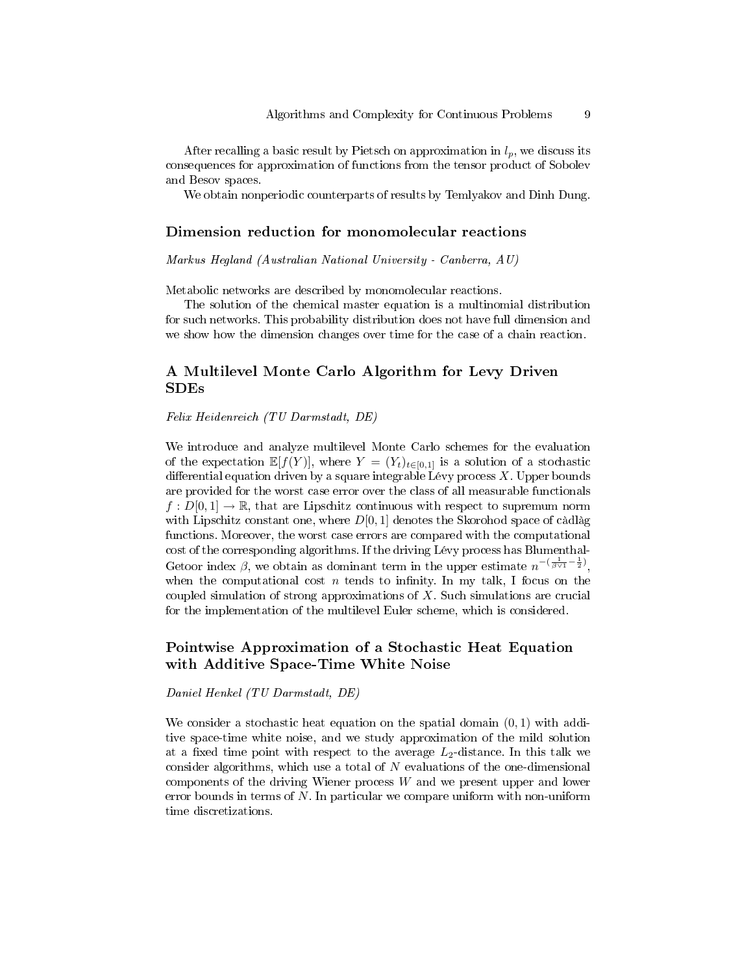After recalling a basic result by Pietsch on approximation in  $l_p$ , we discuss its consequences for approximation of functions from the tensor product of Sobolev and Besov spaces.

We obtain nonperiodic counterparts of results by Temlyakov and Dinh Dung.

#### Dimension reduction for monomolecular reactions

Markus Hegland (Australian National University - Canberra, AU)

Metabolic networks are described by monomolecular reactions.

The solution of the chemical master equation is a multinomial distribution for such networks. This probability distribution does not have full dimension and we show how the dimension changes over time for the case of a chain reaction.

# A Multilevel Monte Carlo Algorithm for Levy Driven SDEs

Felix Heidenreich (TU Darmstadt, DE)

We introduce and analyze multilevel Monte Carlo schemes for the evaluation of the expectation  $\mathbb{E}[f(Y)]$ , where  $Y = (Y_t)_{t \in [0,1]}$  is a solution of a stochastic differential equation driven by a square integrable Lévy process  $X$ . Upper bounds are provided for the worst case error over the class of all measurable functionals  $f: D[0,1] \to \mathbb{R}$ , that are Lipschitz continuous with respect to supremum norm with Lipschitz constant one, where  $D[0, 1]$  denotes the Skorohod space of càdlàg functions. Moreover, the worst case errors are compared with the computational cost of the corresponding algorithms. If the driving Lévy process has Blumenthal-Getoor index  $\beta$ , we obtain as dominant term in the upper estimate  $n^{-(\frac{1}{\beta \vee 1} - \frac{1}{2})}$ , when the computational cost  $n$  tends to infinity. In my talk, I focus on the coupled simulation of strong approximations of  $X$ . Such simulations are crucial for the implementation of the multilevel Euler scheme, which is considered.

# Pointwise Approximation of a Stochastic Heat Equation with Additive Space-Time White Noise

Daniel Henkel (TU Darmstadt, DE)

We consider a stochastic heat equation on the spatial domain  $(0, 1)$  with additive space-time white noise, and we study approximation of the mild solution at a fixed time point with respect to the average  $L_2$ -distance. In this talk we consider algorithms, which use a total of  $N$  evaluations of the one-dimensional components of the driving Wiener process W and we present upper and lower error bounds in terms of N. In particular we compare uniform with non-uniform time discretizations.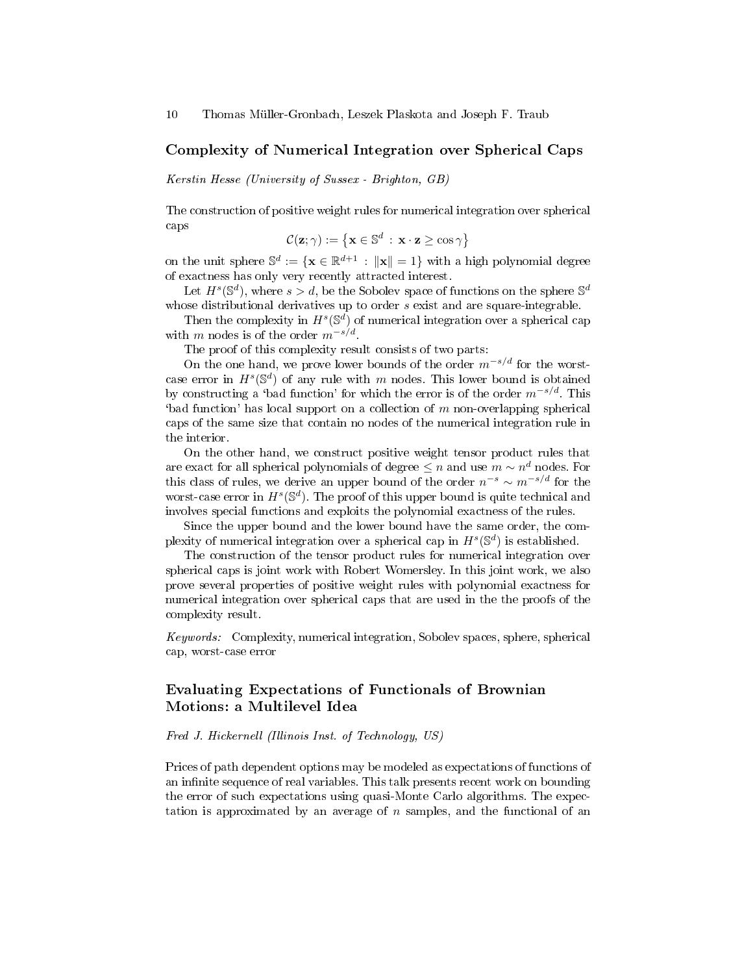#### Complexity of Numerical Integration over Spherical Caps

Kerstin Hesse (University of Sussex - Brighton, GB)

The construction of positive weight rules for numerical integration over spherical caps

$$
\mathcal{C}(\mathbf{z};\gamma) := \left\{ \mathbf{x} \in \mathbb{S}^d \, : \, \mathbf{x} \cdot \mathbf{z} \ge \cos \gamma \right\}
$$

on the unit sphere  $\mathbb{S}^d := \{ \mathbf{x} \in \mathbb{R}^{d+1} \, : \, \|\mathbf{x}\| = 1 \}$  with a high polynomial degree of exactness has only very recently attracted interest.

Let  $H^s(\mathbb{S}^d)$ , where  $s > d$ , be the Sobolev space of functions on the sphere  $\mathbb{S}^d$ whose distributional derivatives up to order s exist and are square-integrable.

Then the complexity in  $H^s(\mathbb{S}^d)$  of numerical integration over a spherical cap with m nodes is of the order  $m^{-s/d}$ .

The proof of this complexity result consists of two parts:

On the one hand, we prove lower bounds of the order  $m^{-s/d}$  for the worstcase error in  $H^s(\mathbb{S}^d)$  of any rule with m nodes. This lower bound is obtained by constructing a 'bad function' for which the error is of the order  $m^{-s/d}$ . This  $\phi$  that function' has local support on a collection of m non-overlapping spherical caps of the same size that contain no nodes of the numerical integration rule in the interior.

On the other hand, we construct positive weight tensor product rules that are exact for all spherical polynomials of degree  $\leq n$  and use  $m \sim n^d$  nodes. For this class of rules, we derive an upper bound of the order  $n^{-s} \sim m^{-s/d}$  for the worst-case error in  $H^s(\mathbb{S}^d)$ . The proof of this upper bound is quite technical and involves special functions and exploits the polynomial exactness of the rules.

Since the upper bound and the lower bound have the same order, the complexity of numerical integration over a spherical cap in  $H^s(\mathbb{S}^d)$  is established.

The construction of the tensor product rules for numerical integration over spherical caps is joint work with Robert Womersley. In this joint work, we also prove several properties of positive weight rules with polynomial exactness for numerical integration over spherical caps that are used in the the proofs of the complexity result.

Keywords: Complexity, numerical integration, Sobolev spaces, sphere, spherical cap, worst-case error

# Evaluating Expectations of Functionals of Brownian Motions: a Multilevel Idea

#### Fred J. Hickernell (Illinois Inst. of Technology, US)

Prices of path dependent options may be modeled as expectations of functions of an infinite sequence of real variables. This talk presents recent work on bounding the error of such expectations using quasi-Monte Carlo algorithms. The expectation is approximated by an average of  $n$  samples, and the functional of an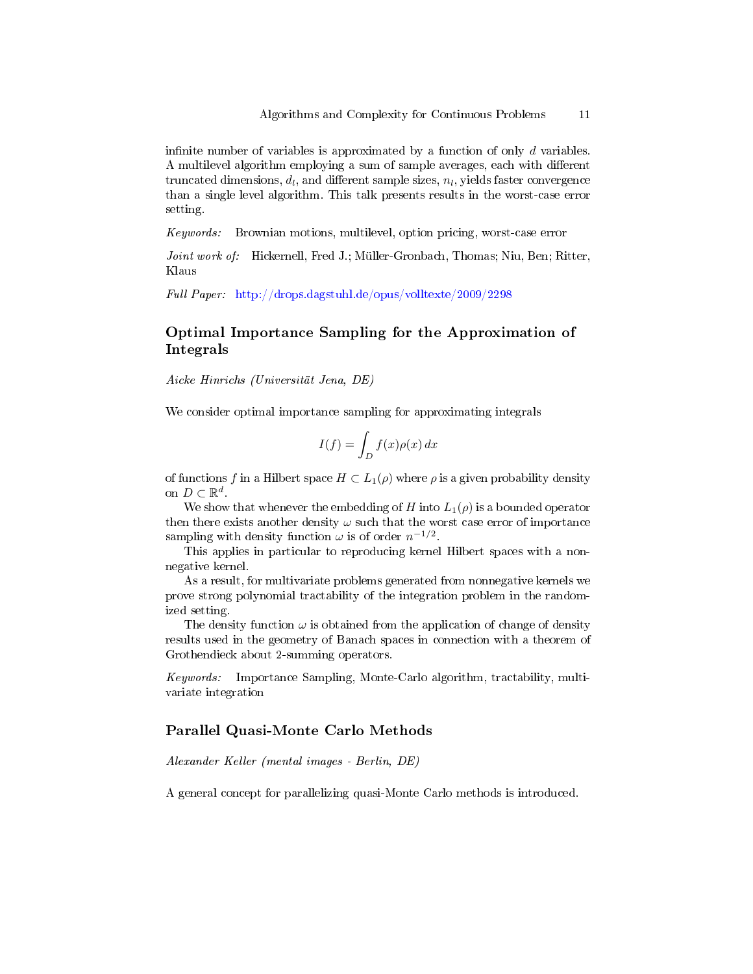infinite number of variables is approximated by a function of only  $d$  variables. A multilevel algorithm employing a sum of sample averages, each with different  $\hbox{truncated dimensions},\,d_l,\,\hbox{and different sample sizes},\,n_l,\,\hbox{yields faster convergence}$ than a single level algorithm. This talk presents results in the worst-case error setting.

Keywords: Brownian motions, multilevel, option pricing, worst-case error

Joint work of: Hickernell, Fred J.; Müller-Gronbach, Thomas; Niu, Ben; Ritter, Klaus

Full Paper: <http://drops.dagstuhl.de/opus/volltexte/2009/2298>

# Optimal Importance Sampling for the Approximation of Integrals

Aicke Hinrichs (Universität Jena, DE)

We consider optimal importance sampling for approximating integrals

$$
I(f) = \int_D f(x)\rho(x) \, dx
$$

of functions f in a Hilbert space  $H \subset L_1(\rho)$  where  $\rho$  is a given probability density on  $D \subset \mathbb{R}^d$ .

We show that whenever the embedding of H into  $L_1(\rho)$  is a bounded operator then there exists another density  $\omega$  such that the worst case error of importance sampling with density function  $\omega$  is of order  $n^{-1/2}$ .

This applies in particular to reproducing kernel Hilbert spaces with a nonnegative kernel.

As a result, for multivariate problems generated from nonnegative kernels we prove strong polynomial tractability of the integration problem in the randomized setting.

The density function  $\omega$  is obtained from the application of change of density results used in the geometry of Banach spaces in connection with a theorem of Grothendieck about 2-summing operators.

Keywords: Importance Sampling, Monte-Carlo algorithm, tractability, multivariate integration

# Parallel Quasi-Monte Carlo Methods

Alexander Keller (mental images - Berlin, DE)

A general concept for parallelizing quasi-Monte Carlo methods is introduced.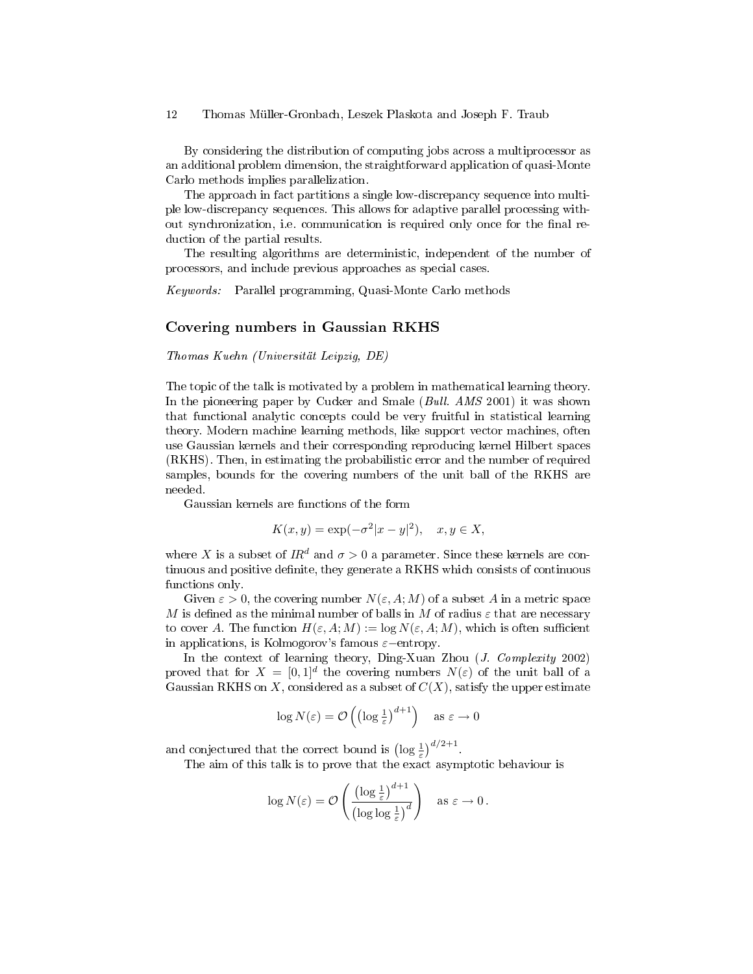By considering the distribution of computing jobs across a multiprocessor as an additional problem dimension, the straightforward application of quasi-Monte Carlo methods implies parallelization.

The approach in fact partitions a single low-discrepancy sequence into multiple low-discrepancy sequences. This allows for adaptive parallel processing without synchronization, i.e. communication is required only once for the final reduction of the partial results.

The resulting algorithms are deterministic, independent of the number of processors, and include previous approaches as special cases.

Keywords: Parallel programming, Quasi-Monte Carlo methods

#### Covering numbers in Gaussian RKHS

Thomas Kuehn (Universität Leipzig, DE)

The topic of the talk is motivated by a problem in mathematical learning theory. In the pioneering paper by Cucker and Smale (*Bull. AMS* 2001) it was shown that functional analytic concepts could be very fruitful in statistical learning theory. Modern machine learning methods, like support vector machines, often use Gaussian kernels and their corresponding reproducing kernel Hilbert spaces (RKHS). Then, in estimating the probabilistic error and the number of required samples, bounds for the covering numbers of the unit ball of the RKHS are needed.

Gaussian kernels are functions of the form

$$
K(x, y) = \exp(-\sigma^2 |x - y|^2), \quad x, y \in X,
$$

where X is a subset of  $IR^d$  and  $\sigma > 0$  a parameter. Since these kernels are continuous and positive definite, they generate a RKHS which consists of continuous functions only.

Given  $\varepsilon > 0$ , the covering number  $N(\varepsilon, A; M)$  of a subset A in a metric space M is defined as the minimal number of balls in M of radius  $\varepsilon$  that are necessary to cover A. The function  $H(\varepsilon, A; M) := \log N(\varepsilon, A; M)$ , which is often sufficient in applications, is Kolmogorov's famous  $\varepsilon$ −entropy.

In the context of learning theory, Ding-Xuan Zhou (J. Complexity 2002) proved that for  $X = [0,1]^d$  the covering numbers  $N(\varepsilon)$  of the unit ball of a Gaussian RKHS on X, considered as a subset of  $C(X)$ , satisfy the upper estimate

$$
\log N(\varepsilon) = \mathcal{O}\left(\left(\log \frac{1}{\varepsilon}\right)^{d+1}\right) \quad \text{as } \varepsilon \to 0
$$

and conjectured that the correct bound is  $\left(\log \frac{1}{\varepsilon}\right)^{d/2+1}$ .

The aim of this talk is to prove that the exact asymptotic behaviour is

$$
\log N(\varepsilon) = \mathcal{O}\left(\frac{\left(\log \frac{1}{\varepsilon}\right)^{d+1}}{\left(\log \log \frac{1}{\varepsilon}\right)^d}\right) \quad \text{as } \varepsilon \to 0.
$$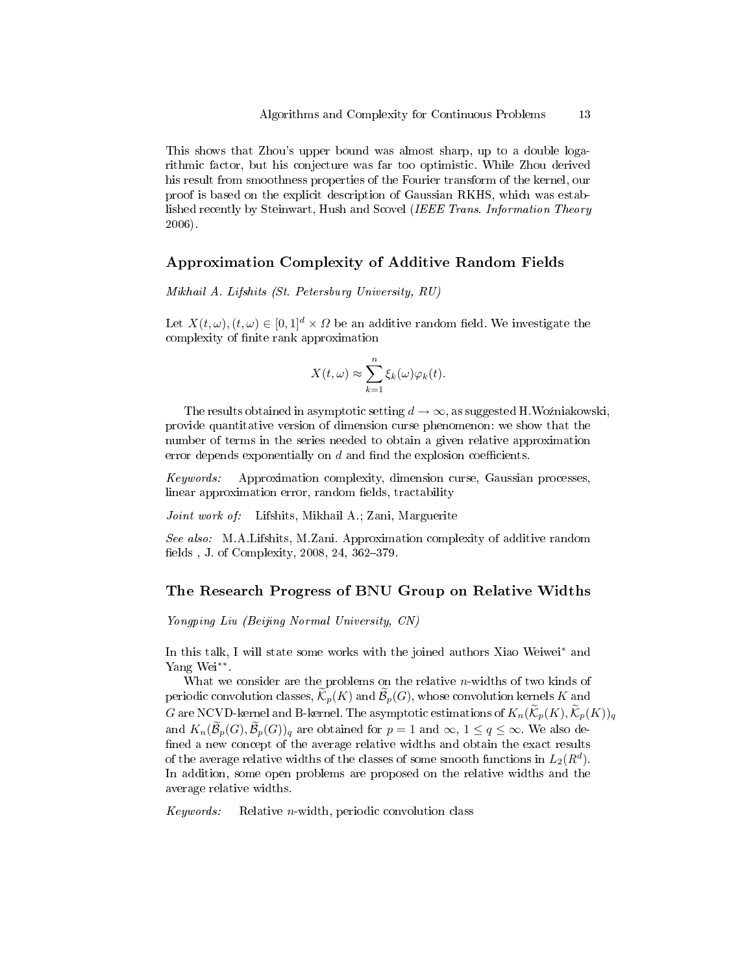This shows that Zhou's upper bound was almost sharp, up to a double logarithmic factor, but his conjecture was far too optimistic. While Zhou derived his result from smoothness properties of the Fourier transform of the kernel, our proof is based on the explicit description of Gaussian RKHS, which was established recently by Steinwart, Hush and Scovel (IEEE Trans. Information Theory 2006).

#### Approximation Complexity of Additive Random Fields

Mikhail A. Lifshits (St. Petersburg University, RU)

Let  $X(t, \omega)$ ,  $(t, \omega) \in [0, 1]^d \times \Omega$  be an additive random field. We investigate the complexity of finite rank approximation

$$
X(t,\omega) \approx \sum_{k=1}^{n} \xi_k(\omega) \varphi_k(t).
$$

The results obtained in asymptotic setting  $d \to \infty$ , as suggested H.Woźniakowski, provide quantitative version of dimension curse phenomenon: we show that the number of terms in the series needed to obtain a given relative approximation error depends exponentially on  $d$  and find the explosion coefficients.

Keywords: Approximation complexity, dimension curse, Gaussian processes, linear approximation error, random fields, tractability

Joint work of: Lifshits, Mikhail A.; Zani, Marguerite

See also: M.A.Lifshits, M.Zani. Approximation complexity of additive random fields , J. of Complexity,  $2008, 24, 362-379$ .

#### The Research Progress of BNU Group on Relative Widths

Yongping Liu (Beijing Normal University, CN)

In this talk, I will state some works with the joined authors Xiao Weiwei<sup>∗</sup> and Yang Wei∗∗ .

What we consider are the problems on the relative  $n$ -widths of two kinds of periodic convolution classes,  $\widetilde{\mathcal{K}}_p(K)$  and  $\widetilde{\mathcal{B}}_p(G)$ , whose convolution kernels K and G are NCVD-kernel and B-kernel. The asymptotic estimations of  $K_n(\widetilde{K}_n(K), \widetilde{K}_n(K))_q$ and  $K_n(\mathcal{B}_p(G), \mathcal{B}_p(G))_q$  are obtained for  $p = 1$  and  $\infty$ ,  $1 \le q \le \infty$ . We also defined a new concept of the average relative widths and obtain the exact results of the average relative widths of the classes of some smooth functions in  $L_2(R^d)$ . In addition, some open problems are proposed on the relative widths and the average relative widths.

 $Keywords:$  Relative *n*-width, periodic convolution class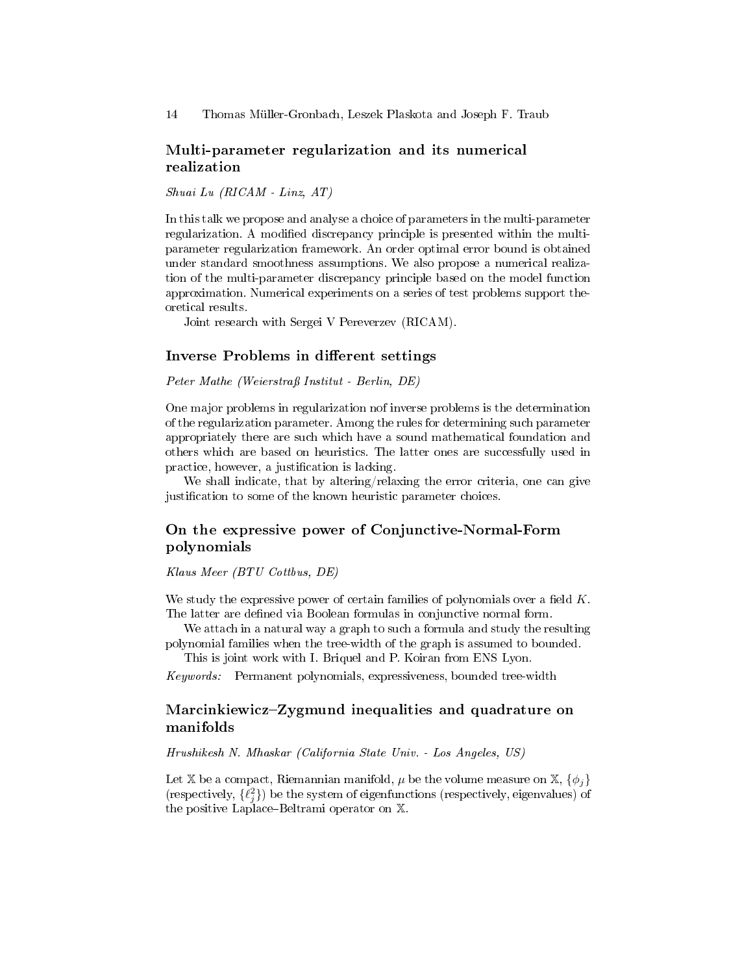### Multi-parameter regularization and its numerical realization

Shuai Lu (RICAM - Linz, AT)

In this talk we propose and analyse a choice of parameters in the multi-parameter regularization. A modified discrepancy principle is presented within the multiparameter regularization framework. An order optimal error bound is obtained under standard smoothness assumptions. We also propose a numerical realization of the multi-parameter discrepancy principle based on the model function approximation. Numerical experiments on a series of test problems support theoretical results.

Joint research with Sergei V Pereverzev (RICAM).

#### Inverse Problems in different settings

Peter Mathe (Weierstraÿ Institut - Berlin, DE)

One major problems in regularization nof inverse problems is the determination of the regularization parameter. Among the rules for determining such parameter appropriately there are such which have a sound mathematical foundation and others which are based on heuristics. The latter ones are successfully used in practice, however, a justification is lacking.

We shall indicate, that by altering/relaxing the error criteria, one can give justification to some of the known heuristic parameter choices.

# On the expressive power of Conjunctive-Normal-Form polynomials

Klaus Meer (BTU Cottbus, DE)

We study the expressive power of certain families of polynomials over a field  $K$ . The latter are defined via Boolean formulas in conjunctive normal form.

We attach in a natural way a graph to such a formula and study the resulting polynomial families when the tree-width of the graph is assumed to bounded.

This is joint work with I. Briquel and P. Koiran from ENS Lyon.

Keywords: Permanent polynomials, expressiveness, bounded tree-width

# Marcinkiewicz–Zygmund inequalities and quadrature on manifolds

Hrushikesh N. Mhaskar (California State Univ. - Los Angeles, US)

Let X be a compact, Riemannian manifold,  $\mu$  be the volume measure on X,  $\{\phi_i\}$ (respectively,  $\{\ell_j^2\}$ ) be the system of eigenfunctions (respectively, eigenvalues) of the positive Laplace–Beltrami operator on  $X$ .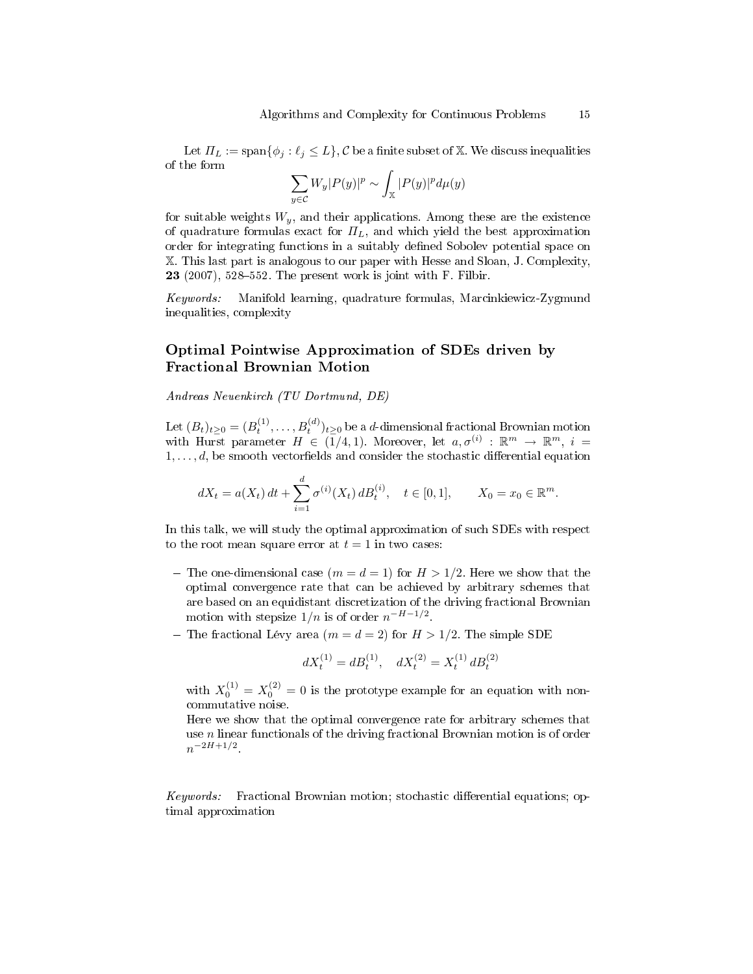Let  $\Pi_L := \text{span}\{\phi_j : \ell_j \leq L\}$ , C be a finite subset of X. We discuss inequalities of the form

$$
\sum_{y \in \mathcal{C}} W_y |P(y)|^p \sim \int_{\mathbb{X}} |P(y)|^p d\mu(y)
$$

for suitable weights  $W_y$ , and their applications. Among these are the existence of quadrature formulas exact for  $\Pi_L$ , and which yield the best approximation order for integrating functions in a suitably dened Sobolev potential space on X. This last part is analogous to our paper with Hesse and Sloan, J. Complexity, 23  $(2007)$ , 528-552. The present work is joint with F. Filbir.

Keywords: Manifold learning, quadrature formulas, Marcinkiewicz-Zygmund inequalities, complexity

### Optimal Pointwise Approximation of SDEs driven by Fractional Brownian Motion

Andreas Neuenkirch (TU Dortmund, DE)

Let  $(B_t)_{t\geq 0}=(B_t^{(1)},\ldots,B_t^{(d)})_{t\geq 0}$  be a  $d$ -dimensional fractional Brownian motion with Hurst parameter  $H \in (\overline{1}/4, 1)$ . Moreover, let  $a, \sigma^{(i)} : \mathbb{R}^m \to \mathbb{R}^m$ ,  $i =$  $1, \ldots, d$ , be smooth vectorfields and consider the stochastic differential equation

$$
dX_t = a(X_t) dt + \sum_{i=1}^d \sigma^{(i)}(X_t) dB_t^{(i)}, \quad t \in [0,1], \qquad X_0 = x_0 \in \mathbb{R}^m.
$$

In this talk, we will study the optimal approximation of such SDEs with respect to the root mean square error at  $t = 1$  in two cases:

- The one-dimensional case  $(m = d = 1)$  for  $H > 1/2$ . Here we show that the optimal convergence rate that can be achieved by arbitrary schemes that are based on an equidistant discretization of the driving fractional Brownian motion with stepsize  $1/n$  is of order  $n^{-H-1/2}$ .
- The fractional Lévy area  $(m = d = 2)$  for  $H > 1/2$ . The simple SDE

$$
dX_t^{(1)} = dB_t^{(1)}, \quad dX_t^{(2)} = X_t^{(1)} dB_t^{(2)}
$$

with  $X_0^{(1)} = X_0^{(2)} = 0$  is the prototype example for an equation with noncommutative noise.

Here we show that the optimal convergence rate for arbitrary schemes that use n linear functionals of the driving fractional Brownian motion is of order  $n^{-2H+1/2}$ .

Keywords: Fractional Brownian motion; stochastic differential equations; optimal approximation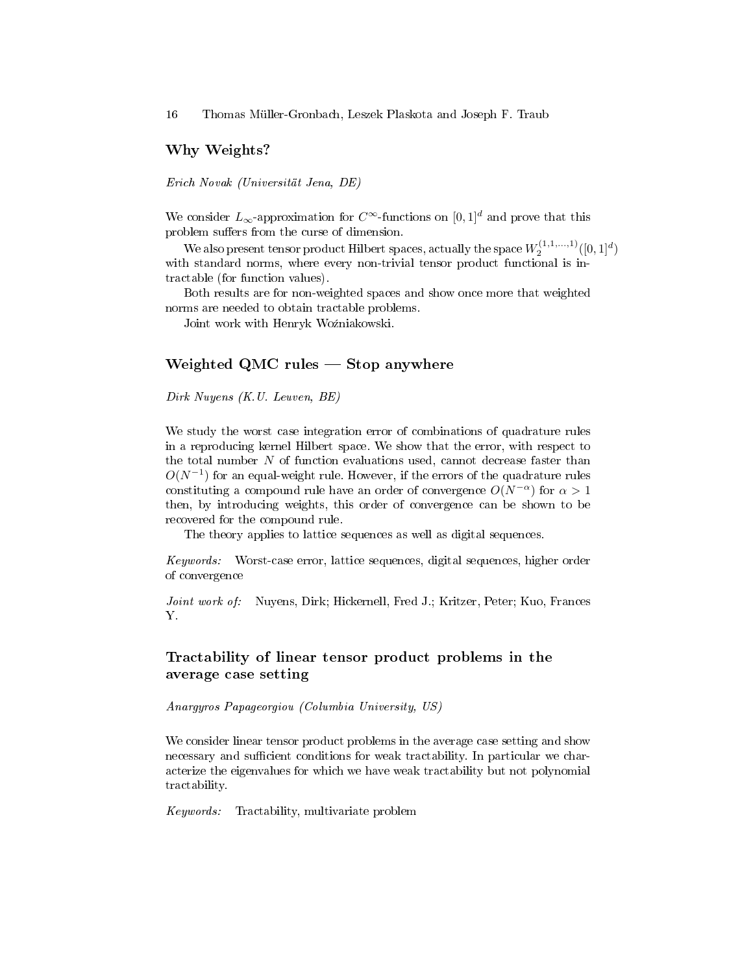### Why Weights?

Erich Novak (Universität Jena, DE)

We consider  $L_{\infty}$ -approximation for  $C^{\infty}$ -functions on  $[0, 1]^d$  and prove that this problem suffers from the curse of dimension.

We also present tensor product Hilbert spaces, actually the space  $W_{2}^{(1,1,...,1)}([0,1]^{d})$ with standard norms, where every non-trivial tensor product functional is intractable (for function values).

Both results are for non-weighted spaces and show once more that weighted norms are needed to obtain tractable problems.

Joint work with Henryk Woźniakowski.

### Weighted QMC rules  $-$  Stop anywhere

Dirk Nuyens (K.U. Leuven, BE)

We study the worst case integration error of combinations of quadrature rules in a reproducing kernel Hilbert space. We show that the error, with respect to the total number  $N$  of function evaluations used, cannot decrease faster than  $O(N^{-1})$  for an equal-weight rule. However, if the errors of the quadrature rules constituting a compound rule have an order of convergence  $O(N^{-\alpha})$  for  $\alpha > 1$ then, by introducing weights, this order of convergence can be shown to be recovered for the compound rule.

The theory applies to lattice sequences as well as digital sequences.

Keywords: Worst-case error, lattice sequences, digital sequences, higher order of convergence

Joint work of: Nuyens, Dirk; Hickernell, Fred J.; Kritzer, Peter; Kuo, Frances Y.

# Tractability of linear tensor product problems in the average case setting

Anargyros Papageorgiou (Columbia University, US)

We consider linear tensor product problems in the average case setting and show necessary and sufficient conditions for weak tractability. In particular we characterize the eigenvalues for which we have weak tractability but not polynomial tractability.

Keywords: Tractability, multivariate problem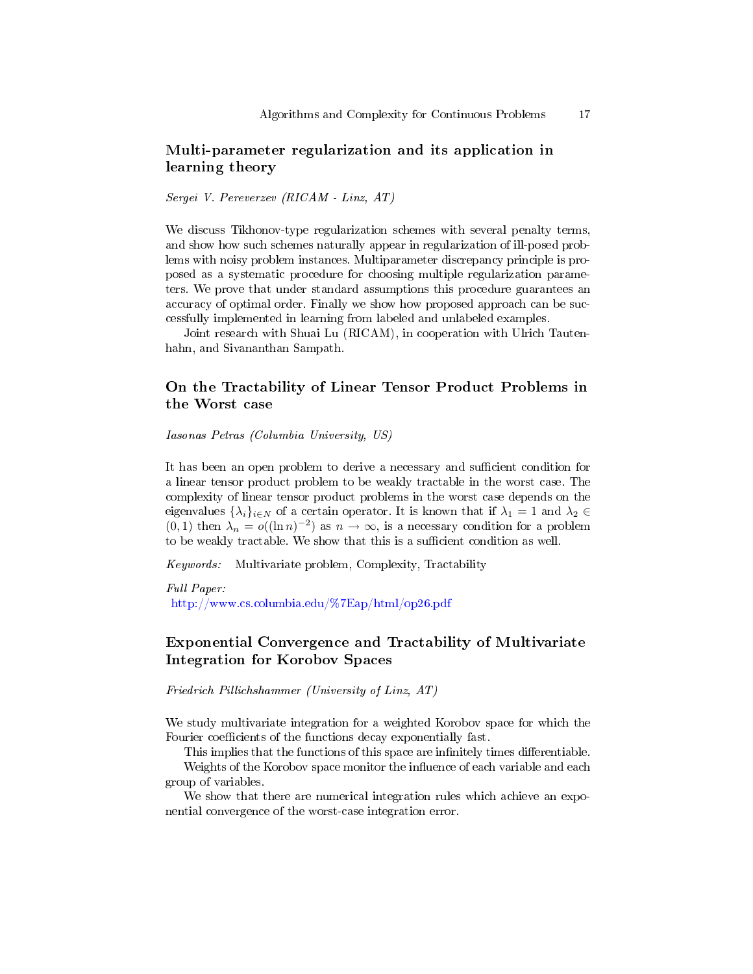# Multi-parameter regularization and its application in learning theory

Sergei V. Pereverzev (RICAM - Linz, AT)

We discuss Tikhonov-type regularization schemes with several penalty terms, and show how such schemes naturally appear in regularization of ill-posed problems with noisy problem instances. Multiparameter discrepancy principle is proposed as a systematic procedure for choosing multiple regularization parameters. We prove that under standard assumptions this procedure guarantees an accuracy of optimal order. Finally we show how proposed approach can be successfully implemented in learning from labeled and unlabeled examples.

Joint research with Shuai Lu (RICAM), in cooperation with Ulrich Tautenhahn, and Sivananthan Sampath.

# On the Tractability of Linear Tensor Product Problems in the Worst case

Iasonas Petras (Columbia University, US)

It has been an open problem to derive a necessary and sufficient condition for a linear tensor product problem to be weakly tractable in the worst case. The complexity of linear tensor product problems in the worst case depends on the eigenvalues  $\{\lambda_i\}_{i\in\mathbb{N}}$  of a certain operator. It is known that if  $\lambda_1 = 1$  and  $\lambda_2 \in$  $(0, 1)$  then  $\lambda_n = o((\ln n)^{-2})$  as  $n \to \infty$ , is a necessary condition for a problem to be weakly tractable. We show that this is a sufficient condition as well.

Keywords: Multivariate problem, Complexity, Tractability

Full Paper: <http://www.cs.columbia.edu/%7Eap/html/op26.pdf>

# Exponential Convergence and Tractability of Multivariate Integration for Korobov Spaces

Friedrich Pillichshammer (University of Linz, AT)

We study multivariate integration for a weighted Korobov space for which the Fourier coefficients of the functions decay exponentially fast.

This implies that the functions of this space are infinitely times differentiable.

Weights of the Korobov space monitor the influence of each variable and each group of variables.

We show that there are numerical integration rules which achieve an exponential convergence of the worst-case integration error.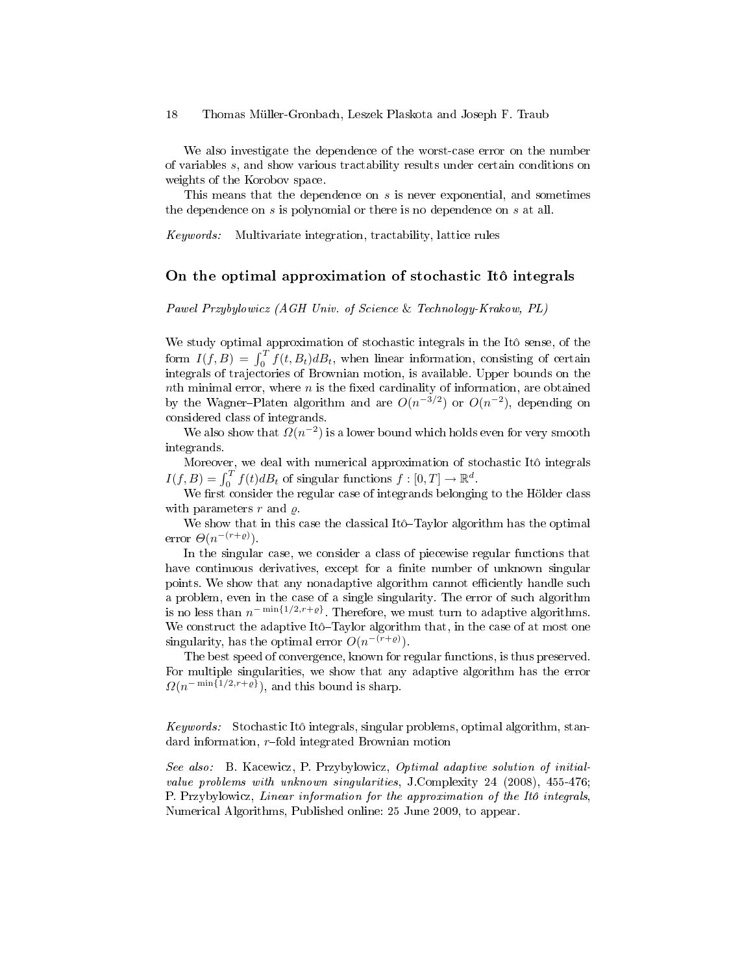We also investigate the dependence of the worst-case error on the number of variables s, and show various tractability results under certain conditions on weights of the Korobov space.

This means that the dependence on  $s$  is never exponential, and sometimes the dependence on  $s$  is polynomial or there is no dependence on  $s$  at all.

Keywords: Multivariate integration, tractability, lattice rules

#### On the optimal approximation of stochastic Itô integrals

Pawel Przybylowicz (AGH Univ. of Science & Technology-Krakow, PL)

We study optimal approximation of stochastic integrals in the Itô sense, of the form  $I(f, B) = \int_0^T f(t, B_t) dB_t$ , when linear information, consisting of certain integrals of trajectories of Brownian motion, is available. Upper bounds on the nth minimal error, where  $n$  is the fixed cardinality of information, are obtained by the Wagner-Platen algorithm and are  $O(n^{-3/2})$  or  $O(n^{-2})$ , depending on considered class of integrands.

We also show that  $\Omega(n^{-2})$  is a lower bound which holds even for very smooth integrands.

Moreover, we deal with numerical approximation of stochastic Itô integrals  $I(f, B) = \int_0^T f(t)dB_t$  of singular functions  $f : [0, T] \to \mathbb{R}^d$ .

We first consider the regular case of integrands belonging to the Hölder class with parameters  $r$  and  $\rho$ .

We show that in this case the classical Itô-Taylor algorithm has the optimal error  $\Theta(n^{-(r+\varrho)})$ .

In the singular case, we consider a class of piecewise regular functions that have continuous derivatives, except for a finite number of unknown singular points. We show that any nonadaptive algorithm cannot efficiently handle such a problem, even in the case of a single singularity. The error of such algorithm is no less than  $n^{-\min\{1/2,r+\varrho\}}$ . Therefore, we must turn to adaptive algorithms. We construct the adaptive Itô $-Taylor$  algorithm that, in the case of at most one singularity, has the optimal error  $O(n^{-(r+\varrho)})$ .

The best speed of convergence, known for regular functions, is thus preserved. For multiple singularities, we show that any adaptive algorithm has the error  $\Omega(n^{-\min\{1/2,r+\varrho\}})$ , and this bound is sharp.

Keywords: Stochastic Itô integrals, singular problems, optimal algorithm, standard information,  $r$ -fold integrated Brownian motion

See also: B. Kacewicz, P. Przybylowicz, Optimal adaptive solution of initialvalue problems with unknown singularities, J.Complexity 24 (2008), 455-476; P. Przybylowicz, Linear information for the approximation of the Itô integrals, Numerical Algorithms, Published online: 25 June 2009, to appear.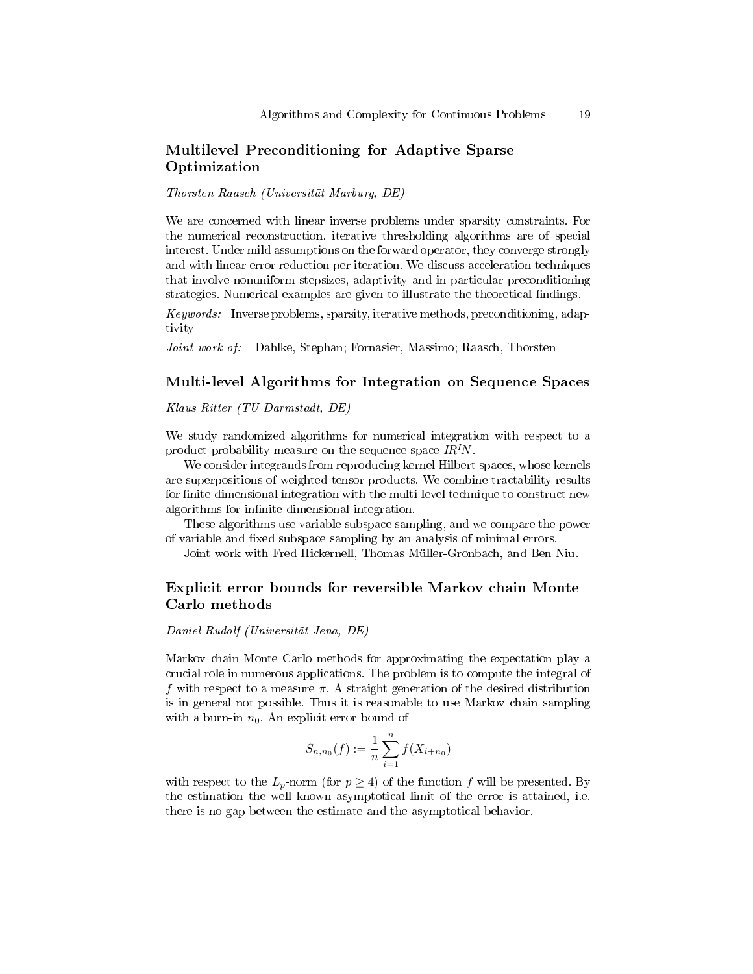# Multilevel Preconditioning for Adaptive Sparse Optimization

Thorsten Raasch (Universität Marburg, DE)

We are concerned with linear inverse problems under sparsity constraints. For the numerical reconstruction, iterative thresholding algorithms are of special interest. Under mild assumptions on the forward operator, they converge strongly and with linear error reduction per iteration. We discuss acceleration techniques that involve nonuniform stepsizes, adaptivity and in particular preconditioning strategies. Numerical examples are given to illustrate the theoretical findings.

Keywords: Inverse problems, sparsity, iterative methods, preconditioning, adaptivity

Joint work of: Dahlke, Stephan; Fornasier, Massimo; Raasch, Thorsten

### Multi-level Algorithms for Integration on Sequence Spaces

Klaus Ritter (TU Darmstadt, DE)

We study randomized algorithms for numerical integration with respect to a product probability measure on the sequence space  $IR^1N$ .

We consider integrands from reproducing kernel Hilbert spaces, whose kernels are superpositions of weighted tensor products. We combine tractability results for finite-dimensional integration with the multi-level technique to construct new algorithms for infinite-dimensional integration.

These algorithms use variable subspace sampling, and we compare the power of variable and fixed subspace sampling by an analysis of minimal errors.

Joint work with Fred Hickernell, Thomas Müller-Gronbach, and Ben Niu.

# Explicit error bounds for reversible Markov chain Monte Carlo methods

Daniel Rudolf (Universität Jena, DE)

Markov chain Monte Carlo methods for approximating the expectation play a crucial role in numerous applications. The problem is to compute the integral of f with respect to a measure  $\pi$ . A straight generation of the desired distribution is in general not possible. Thus it is reasonable to use Markov chain sampling with a burn-in  $n_0$ . An explicit error bound of

$$
S_{n,n_0}(f) := \frac{1}{n} \sum_{i=1}^n f(X_{i+n_0})
$$

with respect to the  $L_p$ -norm (for  $p \ge 4$ ) of the function f will be presented. By the estimation the well known asymptotical limit of the error is attained, i.e. there is no gap between the estimate and the asymptotical behavior.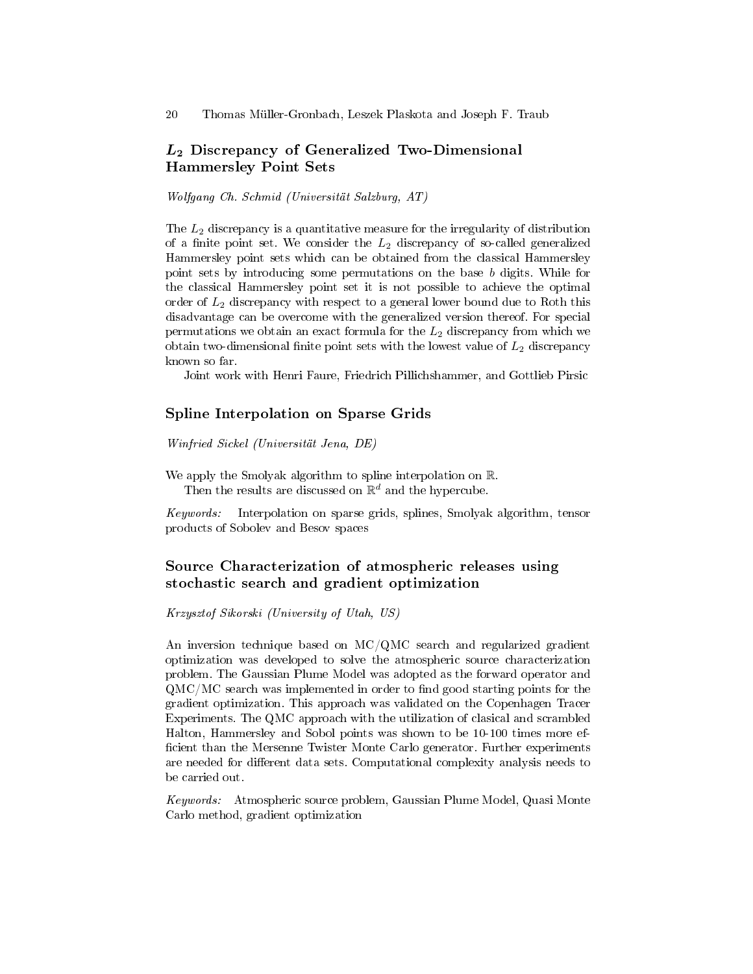# $L_2$  Discrepancy of Generalized Two-Dimensional Hammersley Point Sets

Wolfgang Ch. Schmid (Universität Salzburg, AT)

The  $L_2$  discrepancy is a quantitative measure for the irregularity of distribution of a finite point set. We consider the  $L_2$  discrepancy of so-called generalized Hammersley point sets which can be obtained from the classical Hammersley point sets by introducing some permutations on the base b digits. While for the classical Hammersley point set it is not possible to achieve the optimal order of  $L_2$  discrepancy with respect to a general lower bound due to Roth this disadvantage can be overcome with the generalized version thereof. For special permutations we obtain an exact formula for the  $L_2$  discrepancy from which we obtain two-dimensional finite point sets with the lowest value of  $L_2$  discrepancy known so far.

Joint work with Henri Faure, Friedrich Pillichshammer, and Gottlieb Pirsic

#### Spline Interpolation on Sparse Grids

Winfried Sickel (Universität Jena, DE)

We apply the Smolyak algorithm to spline interpolation on R. Then the results are discussed on  $\mathbb{R}^d$  and the hypercube.

Keywords: Interpolation on sparse grids, splines, Smolyak algorithm, tensor products of Sobolev and Besov spaces

# Source Characterization of atmospheric releases using stochastic search and gradient optimization

Krzysztof Sikorski (University of Utah, US)

An inversion technique based on MC/QMC search and regularized gradient optimization was developed to solve the atmospheric source characterization problem. The Gaussian Plume Model was adopted as the forward operator and  $QMC/MC$  search was implemented in order to find good starting points for the gradient optimization. This approach was validated on the Copenhagen Tracer Experiments. The QMC approach with the utilization of clasical and scrambled Halton, Hammersley and Sobol points was shown to be 10-100 times more ef ficient than the Mersenne Twister Monte Carlo generator. Further experiments are needed for different data sets. Computational complexity analysis needs to be carried out.

Keywords: Atmospheric source problem, Gaussian Plume Model, Quasi Monte Carlo method, gradient optimization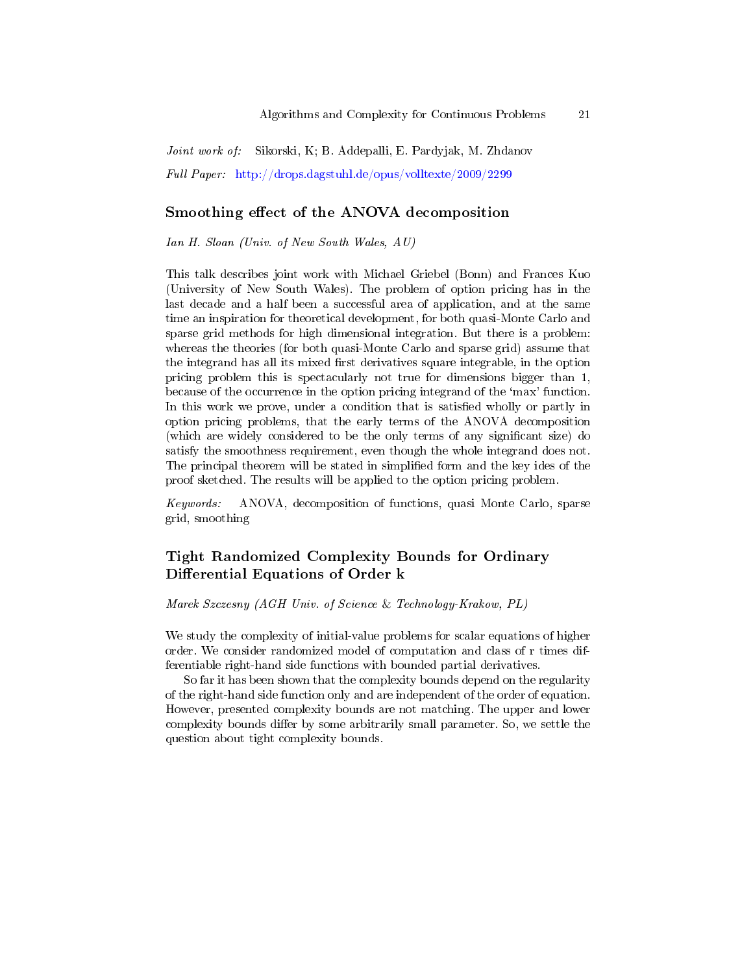Joint work of: Sikorski, K; B. Addepalli, E. Pardyjak, M. Zhdanov Full Paper: <http://drops.dagstuhl.de/opus/volltexte/2009/2299>

## Smoothing effect of the ANOVA decomposition

Ian H. Sloan (Univ. of New South Wales, AU)

This talk describes joint work with Michael Griebel (Bonn) and Frances Kuo (University of New South Wales). The problem of option pricing has in the last decade and a half been a successful area of application, and at the same time an inspiration for theoretical development, for both quasi-Monte Carlo and sparse grid methods for high dimensional integration. But there is a problem: whereas the theories (for both quasi-Monte Carlo and sparse grid) assume that the integrand has all its mixed first derivatives square integrable, in the option pricing problem this is spectacularly not true for dimensions bigger than 1, because of the occurrence in the option pricing integrand of the `max' function. In this work we prove, under a condition that is satisfied wholly or partly in option pricing problems, that the early terms of the ANOVA decomposition (which are widely considered to be the only terms of any signicant size) do satisfy the smoothness requirement, even though the whole integrand does not. The principal theorem will be stated in simplified form and the key ides of the proof sketched. The results will be applied to the option pricing problem.

Keywords: ANOVA, decomposition of functions, quasi Monte Carlo, sparse grid, smoothing

# Tight Randomized Complexity Bounds for Ordinary Differential Equations of Order k

#### Marek Szczesny (AGH Univ. of Science & Technology-Krakow, PL)

We study the complexity of initial-value problems for scalar equations of higher order. We consider randomized model of computation and class of r times differentiable right-hand side functions with bounded partial derivatives.

So far it has been shown that the complexity bounds depend on the regularity of the right-hand side function only and are independent of the order of equation. However, presented complexity bounds are not matching. The upper and lower complexity bounds differ by some arbitrarily small parameter. So, we settle the question about tight complexity bounds.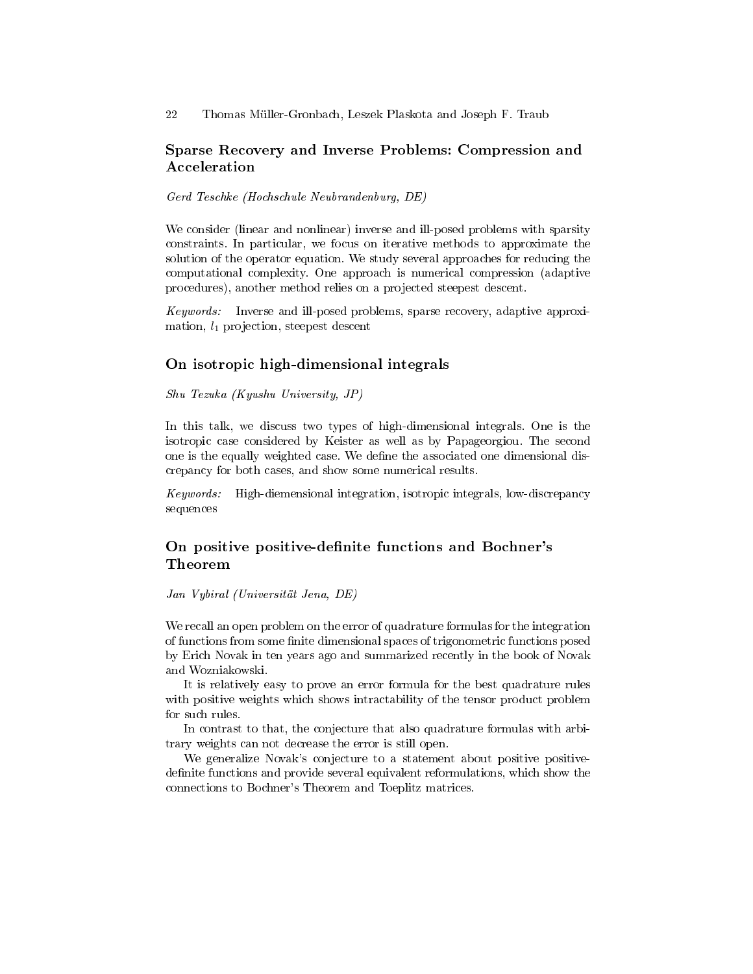# Sparse Recovery and Inverse Problems: Compression and Acceleration

Gerd Teschke (Hochschule Neubrandenburg, DE)

We consider (linear and nonlinear) inverse and ill-posed problems with sparsity constraints. In particular, we focus on iterative methods to approximate the solution of the operator equation. We study several approaches for reducing the computational complexity. One approach is numerical compression (adaptive procedures), another method relies on a projected steepest descent.

Keywords: Inverse and ill-posed problems, sparse recovery, adaptive approximation,  $l_1$  projection, steepest descent

# On isotropic high-dimensional integrals

Shu Tezuka (Kyushu University, JP)

In this talk, we discuss two types of high-dimensional integrals. One is the isotropic case considered by Keister as well as by Papageorgiou. The second one is the equally weighted case. We define the associated one dimensional discrepancy for both cases, and show some numerical results.

Keywords: High-diemensional integration, isotropic integrals, low-discrepancy sequences

# On positive positive-definite functions and Bochner's Theorem

Jan Vybiral (Universität Jena, DE)

We recall an open problem on the error of quadrature formulas for the integration of functions from some finite dimensional spaces of trigonometric functions posed by Erich Novak in ten years ago and summarized recently in the book of Novak and Wozniakowski.

It is relatively easy to prove an error formula for the best quadrature rules with positive weights which shows intractability of the tensor product problem for such rules.

In contrast to that, the conjecture that also quadrature formulas with arbitrary weights can not decrease the error is still open.

We generalize Novak's conjecture to a statement about positive positivedefinite functions and provide several equivalent reformulations, which show the connections to Bochner's Theorem and Toeplitz matrices.